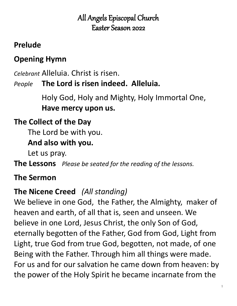# All Angels Episcopal Church Easter Season 2022

## **Prelude**

# **Opening Hymn**

*Celebrant* Alleluia. Christ is risen.

*People* **The Lord is risen indeed. Alleluia.**

Holy God, Holy and Mighty, Holy Immortal One, **Have mercy upon us.** 

# **The Collect of the Day**

The Lord be with you.

### **And also with you.**

Let us pray.

**The Lessons** *Please be seated for the reading of the lessons.*

# **The Sermon**

# **The Nicene Creed** *(All standing)*

We believe in one God, the Father, the Almighty, maker of heaven and earth, of all that is, seen and unseen. We believe in one Lord, Jesus Christ, the only Son of God, eternally begotten of the Father, God from God, Light from Light, true God from true God, begotten, not made, of one Being with the Father. Through him all things were made. For us and for our salvation he came down from heaven: by the power of the Holy Spirit he became incarnate from the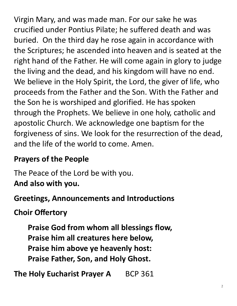Virgin Mary, and was made man. For our sake he was crucified under Pontius Pilate; he suffered death and was buried. On the third day he rose again in accordance with the Scriptures; he ascended into heaven and is seated at the right hand of the Father. He will come again in glory to judge the living and the dead, and his kingdom will have no end. We believe in the Holy Spirit, the Lord, the giver of life, who proceeds from the Father and the Son. With the Father and the Son he is worshiped and glorified. He has spoken through the Prophets. We believe in one holy, catholic and apostolic Church. We acknowledge one baptism for the forgiveness of sins. We look for the resurrection of the dead, and the life of the world to come. Amen.

# **Prayers of the People**

The Peace of the Lord be with you. **And also with you.**

### **Greetings, Announcements and Introductions**

# **Choir Offertory**

**Praise God from whom all blessings flow, Praise him all creatures here below, Praise him above ye heavenly host: Praise Father, Son, and Holy Ghost.**

**The Holy Eucharist Prayer A** BCP 361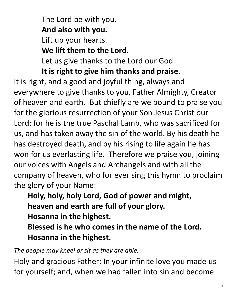The Lord be with you. **And also with you.** Lift up your hearts. **We lift them to the Lord.** Let us give thanks to the Lord our God.

**It is right to give him thanks and praise.**

It is right, and a good and joyful thing, always and everywhere to give thanks to you, Father Almighty, Creator of heaven and earth. But chiefly are we bound to praise you for the glorious resurrection of your Son Jesus Christ our Lord; for he is the true Paschal Lamb, who was sacrificed for us, and has taken away the sin of the world. By his death he has destroyed death, and by his rising to life again he has won for us everlasting life. Therefore we praise you, joining our voices with Angels and Archangels and with all the company of heaven, who for ever sing this hymn to proclaim the glory of your Name:

**Holy, holy, holy Lord, God of power and might, heaven and earth are full of your glory. Hosanna in the highest.**

**Blessed is he who comes in the name of the Lord. Hosanna in the highest.**

*The people may kneel or sit as they are able.*

Holy and gracious Father: In your infinite love you made us for yourself; and, when we had fallen into sin and become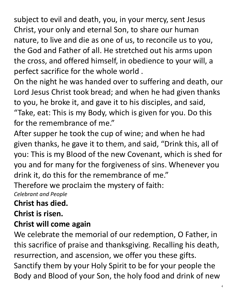subject to evil and death, you, in your mercy, sent Jesus Christ, your only and eternal Son, to share our human nature, to live and die as one of us, to reconcile us to you, the God and Father of all. He stretched out his arms upon the cross, and offered himself, in obedience to your will, a perfect sacrifice for the whole world .

On the night he was handed over to suffering and death, our Lord Jesus Christ took bread; and when he had given thanks to you, he broke it, and gave it to his disciples, and said, "Take, eat: This is my Body, which is given for you. Do this for the remembrance of me."

After supper he took the cup of wine; and when he had given thanks, he gave it to them, and said, "Drink this, all of you: This is my Blood of the new Covenant, which is shed for you and for many for the forgiveness of sins. Whenever you drink it, do this for the remembrance of me."

Therefore we proclaim the mystery of faith: *Celebrant and People*

**Christ has died.** 

**Christ is risen.** 

### **Christ will come again**

We celebrate the memorial of our redemption, O Father, in this sacrifice of praise and thanksgiving. Recalling his death, resurrection, and ascension, we offer you these gifts. Sanctify them by your Holy Spirit to be for your people the Body and Blood of your Son, the holy food and drink of new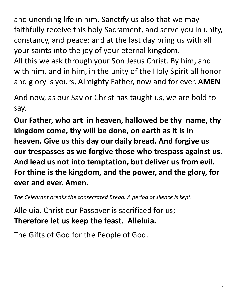and unending life in him. Sanctify us also that we may faithfully receive this holy Sacrament, and serve you in unity, constancy, and peace; and at the last day bring us with all your saints into the joy of your eternal kingdom.

All this we ask through your Son Jesus Christ. By him, and with him, and in him, in the unity of the Holy Spirit all honor and glory is yours, Almighty Father, now and for ever. **AMEN**

And now, as our Savior Christ has taught us, we are bold to say,

**Our Father, who art in heaven, hallowed be thy name, thy kingdom come, thy will be done, on earth as it is in heaven. Give us this day our daily bread. And forgive us our trespasses as we forgive those who trespass against us. And lead us not into temptation, but deliver us from evil. For thine is the kingdom, and the power, and the glory, for ever and ever. Amen.**

*The Celebrant breaks the consecrated Bread. A period of silence is kept.*

Alleluia. Christ our Passover is sacrificed for us; **Therefore let us keep the feast. Alleluia.**

The Gifts of God for the People of God.